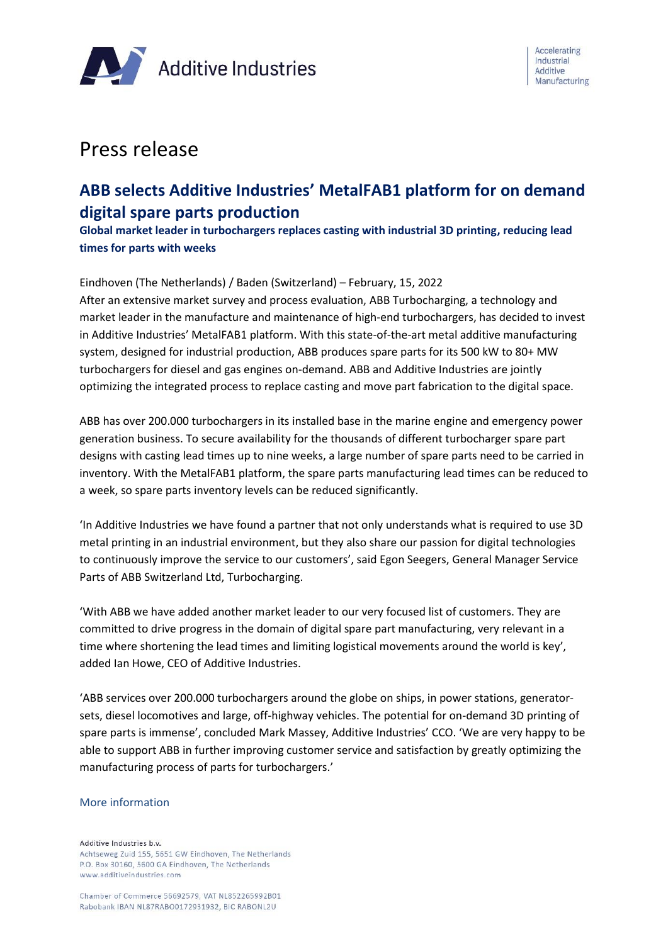

# Press release

# **ABB selects Additive Industries' MetalFAB1 platform for on demand digital spare parts production**

**Global market leader in turbochargers replaces casting with industrial 3D printing, reducing lead times for parts with weeks**

Eindhoven (The Netherlands) / Baden (Switzerland) – February, 15, 2022

After an extensive market survey and process evaluation, ABB Turbocharging, a technology and market leader in the manufacture and maintenance of high-end turbochargers, has decided to invest in Additive Industries' MetalFAB1 platform. With this state-of-the-art metal additive manufacturing system, designed for industrial production, ABB produces spare parts for its 500 kW to 80+ MW turbochargers for diesel and gas engines on-demand. ABB and Additive Industries are jointly optimizing the integrated process to replace casting and move part fabrication to the digital space.

ABB has over 200.000 turbochargers in its installed base in the marine engine and emergency power generation business. To secure availability for the thousands of different turbocharger spare part designs with casting lead times up to nine weeks, a large number of spare parts need to be carried in inventory. With the MetalFAB1 platform, the spare parts manufacturing lead times can be reduced to a week, so spare parts inventory levels can be reduced significantly.

'In Additive Industries we have found a partner that not only understands what is required to use 3D metal printing in an industrial environment, but they also share our passion for digital technologies to continuously improve the service to our customers', said Egon Seegers, General Manager Service Parts of ABB Switzerland Ltd, Turbocharging.

'With ABB we have added another market leader to our very focused list of customers. They are committed to drive progress in the domain of digital spare part manufacturing, very relevant in a time where shortening the lead times and limiting logistical movements around the world is key', added Ian Howe, CEO of Additive Industries.

'ABB services over 200.000 turbochargers around the globe on ships, in power stations, generatorsets, diesel locomotives and large, off-highway vehicles. The potential for on-demand 3D printing of spare parts is immense', concluded Mark Massey, Additive Industries' CCO. 'We are very happy to be able to support ABB in further improving customer service and satisfaction by greatly optimizing the manufacturing process of parts for turbochargers.'

#### More information

Additive Industries b.v. Achtseweg Zuid 155, 5651 GW Eindhoven, The Netherlands P.O. Box 30160, 5600 GA Eindhoven, The Netherlands www.additiveindustries.com